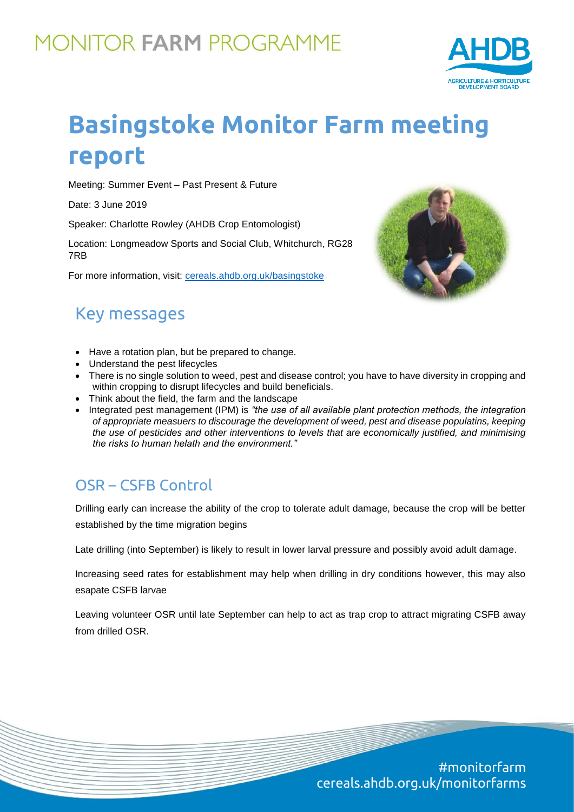## **MONITOR FARM PROGRAMME**



# **Basingstoke Monitor Farm meeting report**

Meeting: Summer Event – Past Present & Future

Date: 3 June 2019

Speaker: Charlotte Rowley (AHDB Crop Entomologist)

Location: Longmeadow Sports and Social Club, Whitchurch, RG28 7RB

For more information, visit: [cereals.ahdb.org.uk/b](https://cereals.ahdb.org.uk/get-involved/monitorfarms/saltburn-monitor-farm.aspx)asingstoke



## Key messages

- Have a rotation plan, but be prepared to change.
- Understand the pest lifecycles
- There is no single solution to weed, pest and disease control; you have to have diversity in cropping and within cropping to disrupt lifecycles and build beneficials.
- Think about the field, the farm and the landscape
- Integrated pest management (IPM) is *"the use of all available plant protection methods, the integration of appropriate measuers to discourage the development of weed, pest and disease populatins, keeping the use of pesticides and other interventions to levels that are economically justified, and minimising the risks to human helath and the environment."*

## OSR – CSFB Control

Drilling early can increase the ability of the crop to tolerate adult damage, because the crop will be better established by the time migration begins

Late drilling (into September) is likely to result in lower larval pressure and possibly avoid adult damage.

Increasing seed rates for establishment may help when drilling in dry conditions however, this may also esapate CSFB larvae

Leaving volunteer OSR until late September can help to act as trap crop to attract migrating CSFB away from drilled OSR.

> #monitorfarm cereals.ahdb.org.uk/monitorfarms